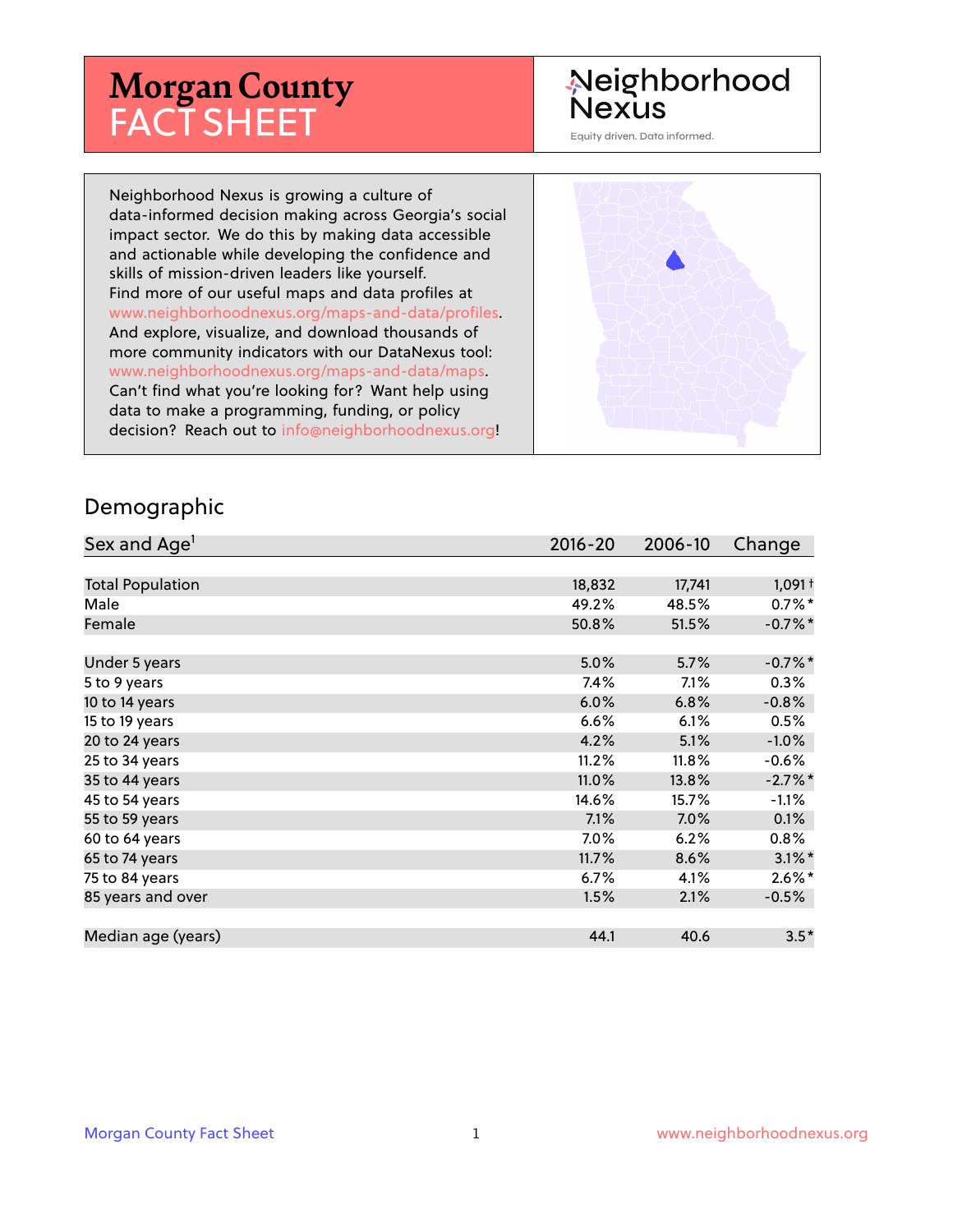# **Morgan County** FACT SHEET

# Neighborhood **Nexus**

Equity driven. Data informed.

Neighborhood Nexus is growing a culture of data-informed decision making across Georgia's social impact sector. We do this by making data accessible and actionable while developing the confidence and skills of mission-driven leaders like yourself. Find more of our useful maps and data profiles at www.neighborhoodnexus.org/maps-and-data/profiles. And explore, visualize, and download thousands of more community indicators with our DataNexus tool: www.neighborhoodnexus.org/maps-and-data/maps. Can't find what you're looking for? Want help using data to make a programming, funding, or policy decision? Reach out to [info@neighborhoodnexus.org!](mailto:info@neighborhoodnexus.org)



#### Demographic

| Sex and Age <sup>1</sup> | $2016 - 20$ | 2006-10 | Change               |
|--------------------------|-------------|---------|----------------------|
|                          |             |         |                      |
| <b>Total Population</b>  | 18,832      | 17,741  | $1,091 +$            |
| Male                     | 49.2%       | 48.5%   | $0.7\%$ *            |
| Female                   | 50.8%       | 51.5%   | $-0.7%$ *            |
|                          |             |         |                      |
| Under 5 years            | 5.0%        | 5.7%    | $-0.7%$ *            |
| 5 to 9 years             | 7.4%        | 7.1%    | 0.3%                 |
| 10 to 14 years           | 6.0%        | 6.8%    | $-0.8%$              |
| 15 to 19 years           | 6.6%        | 6.1%    | 0.5%                 |
| 20 to 24 years           | 4.2%        | 5.1%    | $-1.0%$              |
| 25 to 34 years           | 11.2%       | 11.8%   | $-0.6%$              |
| 35 to 44 years           | 11.0%       | 13.8%   | $-2.7%$ *            |
| 45 to 54 years           | 14.6%       | 15.7%   | $-1.1%$              |
| 55 to 59 years           | 7.1%        | 7.0%    | 0.1%                 |
| 60 to 64 years           | 7.0%        | 6.2%    | $0.8\%$              |
| 65 to 74 years           | 11.7%       | 8.6%    | $3.1\%$ <sup>*</sup> |
| 75 to 84 years           | $6.7\%$     | 4.1%    | $2.6\%$ *            |
| 85 years and over        | 1.5%        | 2.1%    | $-0.5\%$             |
|                          |             |         |                      |
| Median age (years)       | 44.1        | 40.6    | $3.5*$               |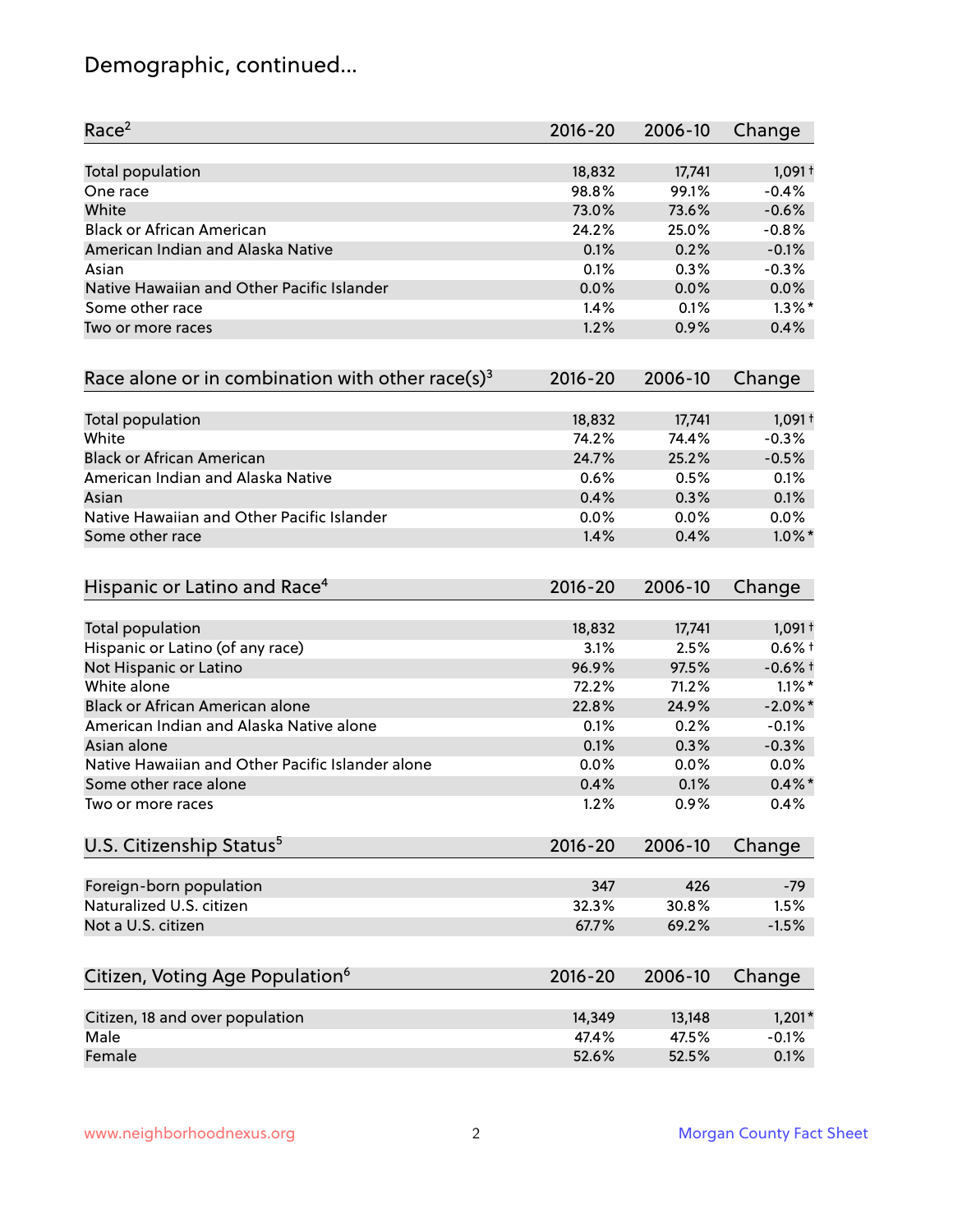# Demographic, continued...

| Race <sup>2</sup>                                            | $2016 - 20$ | 2006-10 | Change     |
|--------------------------------------------------------------|-------------|---------|------------|
| <b>Total population</b>                                      | 18,832      | 17,741  | $1,091+$   |
| One race                                                     | 98.8%       | 99.1%   | $-0.4%$    |
| White                                                        | 73.0%       | 73.6%   | $-0.6%$    |
| <b>Black or African American</b>                             | 24.2%       | 25.0%   | $-0.8%$    |
| American Indian and Alaska Native                            | 0.1%        | 0.2%    | $-0.1%$    |
| Asian                                                        | 0.1%        | 0.3%    | $-0.3%$    |
| Native Hawaiian and Other Pacific Islander                   | 0.0%        | 0.0%    | 0.0%       |
| Some other race                                              | 1.4%        | 0.1%    | $1.3\%$ *  |
| Two or more races                                            | 1.2%        | 0.9%    | 0.4%       |
| Race alone or in combination with other race(s) <sup>3</sup> | $2016 - 20$ | 2006-10 | Change     |
| Total population                                             | 18,832      | 17,741  | $1,091+$   |
| White                                                        | 74.2%       | 74.4%   | $-0.3%$    |
| <b>Black or African American</b>                             | 24.7%       | 25.2%   | $-0.5%$    |
| American Indian and Alaska Native                            | 0.6%        | 0.5%    | 0.1%       |
| Asian                                                        | 0.4%        | 0.3%    | 0.1%       |
| Native Hawaiian and Other Pacific Islander                   | 0.0%        | 0.0%    | 0.0%       |
| Some other race                                              | 1.4%        | 0.4%    | $1.0\%$ *  |
| Hispanic or Latino and Race <sup>4</sup>                     | $2016 - 20$ | 2006-10 | Change     |
| <b>Total population</b>                                      | 18,832      | 17,741  | $1,091+$   |
| Hispanic or Latino (of any race)                             | 3.1%        | 2.5%    | $0.6%$ †   |
| Not Hispanic or Latino                                       | 96.9%       | 97.5%   | $-0.6%$ +  |
| White alone                                                  | 72.2%       | 71.2%   | $1.1\%$ *  |
| Black or African American alone                              | 22.8%       | 24.9%   | $-2.0\%$ * |
| American Indian and Alaska Native alone                      | 0.1%        | 0.2%    | $-0.1%$    |
| Asian alone                                                  | 0.1%        | 0.3%    | $-0.3%$    |
| Native Hawaiian and Other Pacific Islander alone             | 0.0%        | 0.0%    | 0.0%       |
| Some other race alone                                        | 0.4%        | 0.1%    | $0.4\%$ *  |
| Two or more races                                            | 1.2%        | 0.9%    | 0.4%       |
| U.S. Citizenship Status <sup>5</sup>                         | $2016 - 20$ | 2006-10 | Change     |
| Foreign-born population                                      | 347         | 426     | $-79$      |
| Naturalized U.S. citizen                                     | 32.3%       | 30.8%   | 1.5%       |
| Not a U.S. citizen                                           | 67.7%       | 69.2%   | $-1.5%$    |
| Citizen, Voting Age Population <sup>6</sup>                  | $2016 - 20$ | 2006-10 | Change     |
|                                                              |             |         |            |
| Citizen, 18 and over population                              | 14,349      | 13,148  | $1,201*$   |
| Male                                                         | 47.4%       | 47.5%   | $-0.1%$    |
| Female                                                       | 52.6%       | 52.5%   | 0.1%       |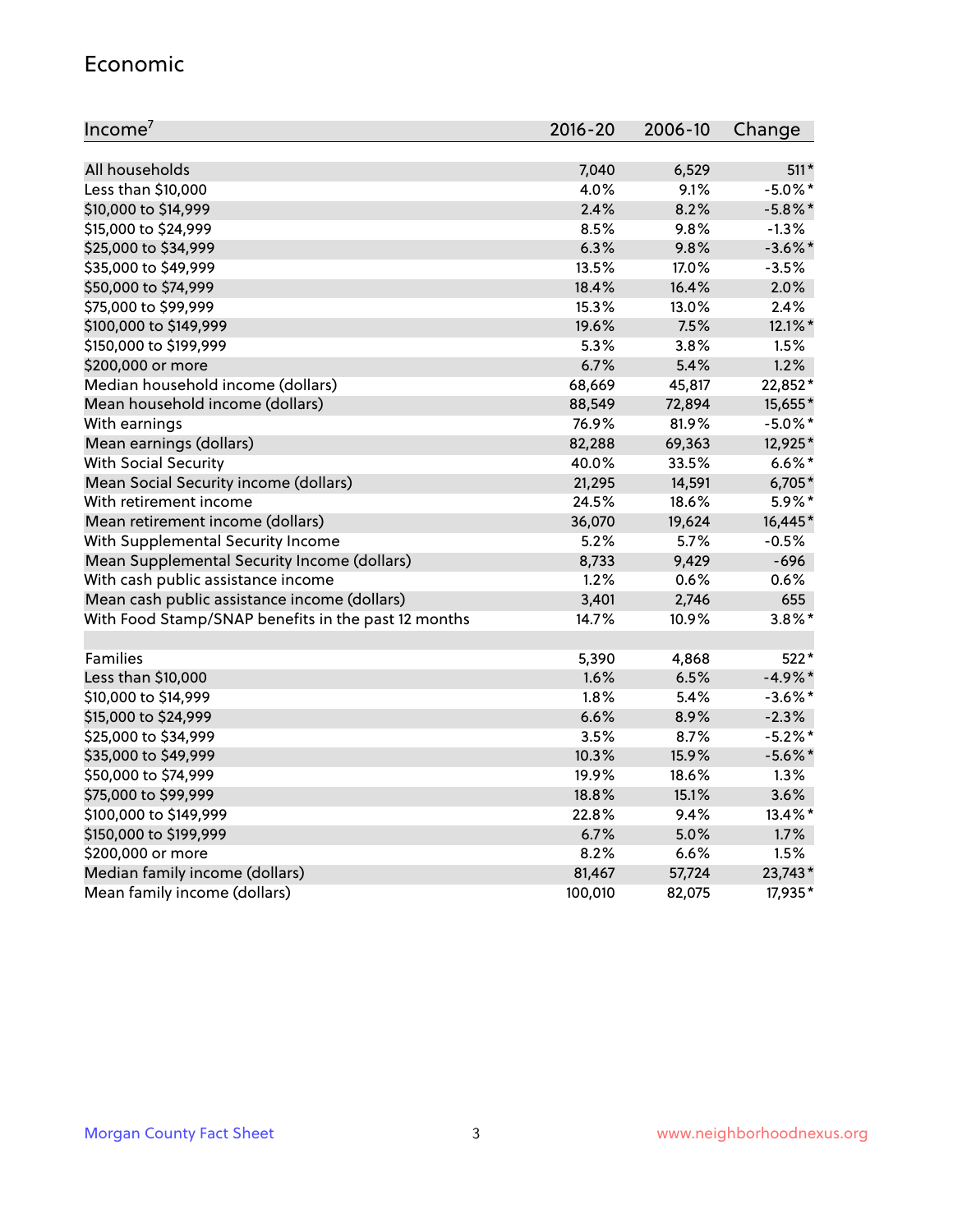#### Economic

| Income <sup>7</sup>                                 | $2016 - 20$ | 2006-10 | Change     |
|-----------------------------------------------------|-------------|---------|------------|
|                                                     |             |         |            |
| All households                                      | 7,040       | 6,529   | $511*$     |
| Less than \$10,000                                  | 4.0%        | 9.1%    | $-5.0\%$ * |
| \$10,000 to \$14,999                                | 2.4%        | 8.2%    | $-5.8\%$ * |
| \$15,000 to \$24,999                                | 8.5%        | 9.8%    | $-1.3%$    |
| \$25,000 to \$34,999                                | 6.3%        | 9.8%    | $-3.6\%$ * |
| \$35,000 to \$49,999                                | 13.5%       | 17.0%   | $-3.5%$    |
| \$50,000 to \$74,999                                | 18.4%       | 16.4%   | 2.0%       |
| \$75,000 to \$99,999                                | 15.3%       | 13.0%   | 2.4%       |
| \$100,000 to \$149,999                              | 19.6%       | 7.5%    | 12.1%*     |
| \$150,000 to \$199,999                              | 5.3%        | 3.8%    | 1.5%       |
| \$200,000 or more                                   | 6.7%        | 5.4%    | 1.2%       |
| Median household income (dollars)                   | 68,669      | 45,817  | 22,852*    |
| Mean household income (dollars)                     | 88,549      | 72,894  | 15,655*    |
| With earnings                                       | 76.9%       | 81.9%   | $-5.0\%$ * |
| Mean earnings (dollars)                             | 82,288      | 69,363  | 12,925*    |
| <b>With Social Security</b>                         | 40.0%       | 33.5%   | $6.6\%$ *  |
| Mean Social Security income (dollars)               | 21,295      | 14,591  | 6,705*     |
| With retirement income                              | 24.5%       | 18.6%   | 5.9%*      |
| Mean retirement income (dollars)                    | 36,070      | 19,624  | 16,445*    |
| With Supplemental Security Income                   | $5.2\%$     | 5.7%    | $-0.5%$    |
| Mean Supplemental Security Income (dollars)         | 8,733       | 9,429   | $-696$     |
| With cash public assistance income                  | 1.2%        | 0.6%    | 0.6%       |
| Mean cash public assistance income (dollars)        | 3,401       | 2,746   | 655        |
| With Food Stamp/SNAP benefits in the past 12 months | 14.7%       | 10.9%   | $3.8\%$ *  |
|                                                     |             |         |            |
| Families                                            | 5,390       | 4,868   | 522*       |
| Less than \$10,000                                  | 1.6%        | 6.5%    | $-4.9\%$ * |
| \$10,000 to \$14,999                                | 1.8%        | 5.4%    | $-3.6\%$ * |
| \$15,000 to \$24,999                                | 6.6%        | 8.9%    | $-2.3%$    |
| \$25,000 to \$34,999                                | 3.5%        | 8.7%    | $-5.2%$ *  |
| \$35,000 to \$49,999                                | 10.3%       | 15.9%   | $-5.6\%$ * |
| \$50,000 to \$74,999                                | 19.9%       | 18.6%   | 1.3%       |
| \$75,000 to \$99,999                                | 18.8%       | 15.1%   | 3.6%       |
| \$100,000 to \$149,999                              | 22.8%       | 9.4%    | 13.4%*     |
| \$150,000 to \$199,999                              | 6.7%        | 5.0%    | 1.7%       |
| \$200,000 or more                                   | 8.2%        | 6.6%    | 1.5%       |
| Median family income (dollars)                      | 81,467      | 57,724  | 23,743*    |
| Mean family income (dollars)                        | 100,010     | 82,075  | 17,935*    |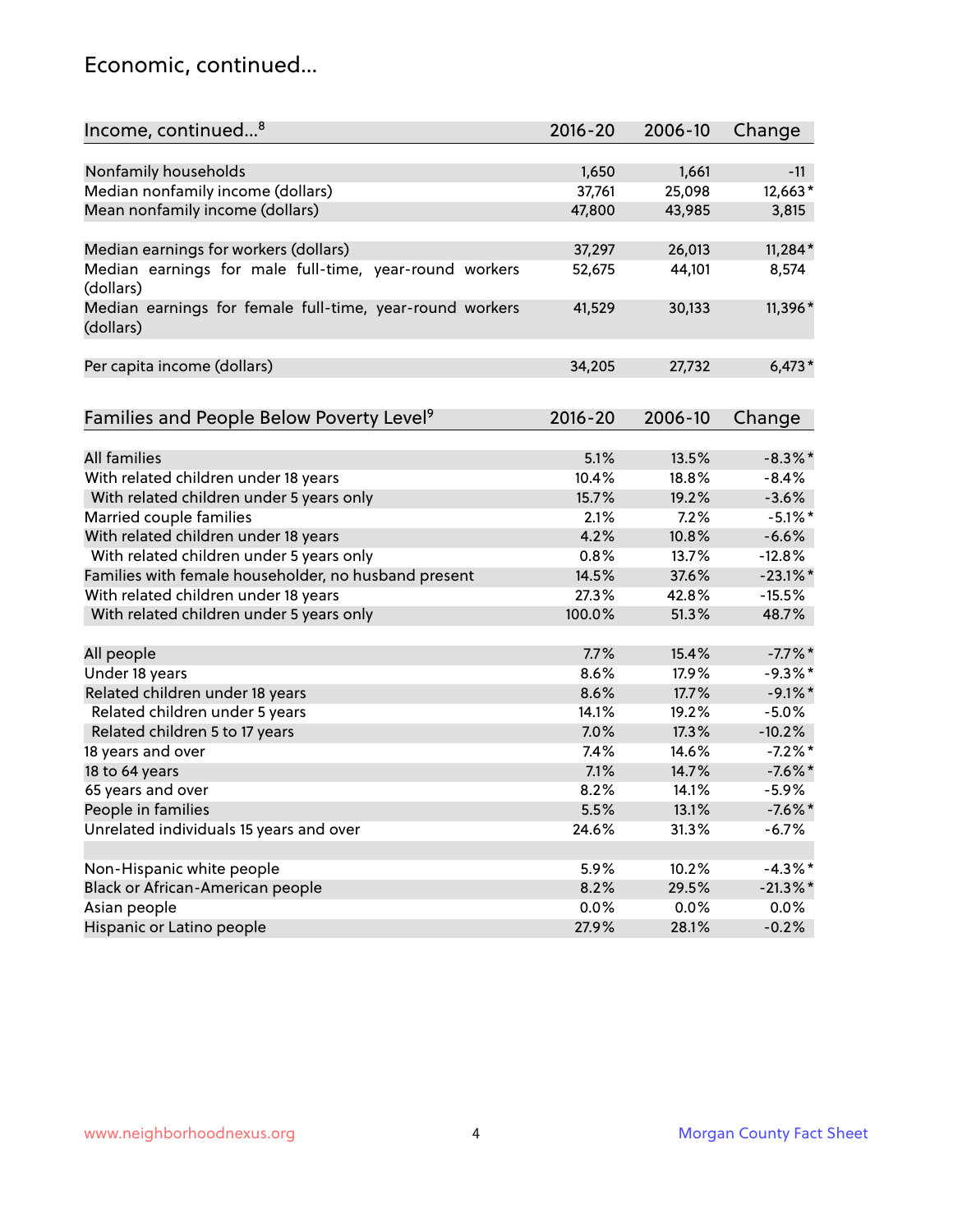### Economic, continued...

| Income, continued <sup>8</sup><br>$2016 - 20$<br>2006-10                         | Change      |
|----------------------------------------------------------------------------------|-------------|
|                                                                                  |             |
| Nonfamily households<br>1,650<br>1,661                                           | $-11$       |
| Median nonfamily income (dollars)<br>25,098<br>37,761                            | 12,663*     |
| Mean nonfamily income (dollars)<br>47,800<br>43,985                              | 3,815       |
|                                                                                  |             |
| Median earnings for workers (dollars)<br>37,297<br>26,013                        | $11,284*$   |
| Median earnings for male full-time, year-round workers<br>52,675<br>44,101       | 8,574       |
| (dollars)                                                                        |             |
| Median earnings for female full-time, year-round workers<br>41,529<br>30,133     | 11,396*     |
| (dollars)                                                                        |             |
|                                                                                  |             |
| Per capita income (dollars)<br>34,205<br>27,732                                  | $6,473*$    |
|                                                                                  |             |
| $2016 - 20$<br>2006-10                                                           |             |
| Families and People Below Poverty Level <sup>9</sup>                             | Change      |
| <b>All families</b><br>5.1%<br>13.5%                                             | $-8.3\%$ *  |
| With related children under 18 years<br>10.4%<br>18.8%                           | $-8.4%$     |
| With related children under 5 years only<br>15.7%<br>19.2%                       | $-3.6%$     |
| 2.1%<br>7.2%                                                                     | $-5.1\%$ *  |
| Married couple families<br>With related children under 18 years<br>4.2%<br>10.8% | $-6.6%$     |
| With related children under 5 years only<br>0.8%<br>13.7%                        | $-12.8%$    |
| Families with female householder, no husband present<br>37.6%<br>14.5%           |             |
| 27.3%<br>42.8%                                                                   | $-23.1\%$ * |
| With related children under 18 years                                             | $-15.5%$    |
| With related children under 5 years only<br>100.0%<br>51.3%                      | 48.7%       |
| All people<br>7.7%<br>15.4%                                                      | $-7.7\%$ *  |
| 8.6%<br>Under 18 years<br>17.9%                                                  | $-9.3%$ *   |
| Related children under 18 years<br>17.7%<br>8.6%                                 | $-9.1\%$ *  |
| Related children under 5 years<br>14.1%<br>19.2%                                 | $-5.0%$     |
| 7.0%<br>17.3%<br>Related children 5 to 17 years                                  | $-10.2%$    |
| 18 years and over<br>7.4%<br>14.6%                                               | $-7.2%$ *   |
| 7.1%<br>18 to 64 years<br>14.7%                                                  | $-7.6%$ *   |
| 65 years and over<br>8.2%<br>14.1%                                               | $-5.9\%$    |
| People in families<br>5.5%<br>13.1%                                              | $-7.6\%$ *  |
| Unrelated individuals 15 years and over<br>24.6%<br>31.3%                        | $-6.7%$     |
|                                                                                  |             |
| Non-Hispanic white people<br>5.9%<br>10.2%                                       | $-4.3\%$ *  |
| Black or African-American people<br>8.2%<br>29.5%                                | $-21.3\%$ * |
| Asian people<br>0.0%<br>0.0%                                                     | 0.0%        |
| Hispanic or Latino people<br>27.9%<br>28.1%                                      | $-0.2%$     |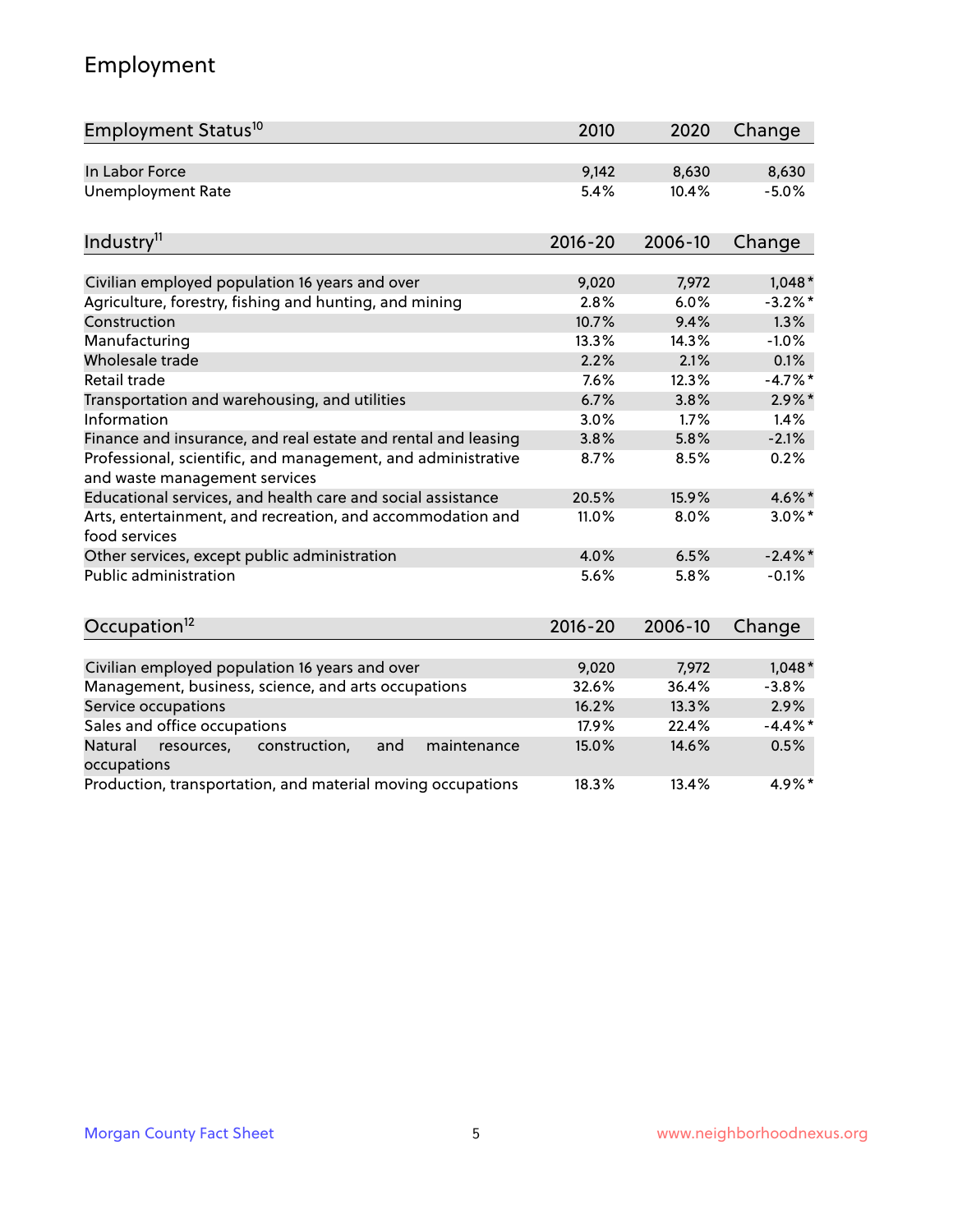# Employment

| Employment Status <sup>10</sup>                                                               | 2010        | 2020    | Change     |
|-----------------------------------------------------------------------------------------------|-------------|---------|------------|
| In Labor Force                                                                                | 9,142       | 8,630   | 8,630      |
| <b>Unemployment Rate</b>                                                                      | 5.4%        | 10.4%   | $-5.0%$    |
| Industry <sup>11</sup>                                                                        | $2016 - 20$ | 2006-10 | Change     |
| Civilian employed population 16 years and over                                                | 9,020       | 7,972   | $1,048*$   |
| Agriculture, forestry, fishing and hunting, and mining                                        | 2.8%        | 6.0%    | $-3.2%$ *  |
| Construction                                                                                  | 10.7%       | 9.4%    | 1.3%       |
| Manufacturing                                                                                 | 13.3%       | 14.3%   | $-1.0%$    |
| Wholesale trade                                                                               | 2.2%        | 2.1%    | 0.1%       |
| Retail trade                                                                                  | 7.6%        | 12.3%   | $-4.7%$ *  |
| Transportation and warehousing, and utilities                                                 | 6.7%        | 3.8%    | $2.9\%$ *  |
| Information                                                                                   | 3.0%        | 1.7%    | 1.4%       |
| Finance and insurance, and real estate and rental and leasing                                 | 3.8%        | 5.8%    | $-2.1%$    |
| Professional, scientific, and management, and administrative<br>and waste management services | 8.7%        | 8.5%    | 0.2%       |
| Educational services, and health care and social assistance                                   | 20.5%       | 15.9%   | 4.6%*      |
| Arts, entertainment, and recreation, and accommodation and<br>food services                   | 11.0%       | 8.0%    | $3.0\%$ *  |
| Other services, except public administration                                                  | 4.0%        | 6.5%    | $-2.4\%$ * |
| <b>Public administration</b>                                                                  | 5.6%        | 5.8%    | $-0.1%$    |
| Occupation <sup>12</sup>                                                                      | $2016 - 20$ | 2006-10 | Change     |
|                                                                                               |             |         |            |
| Civilian employed population 16 years and over                                                | 9,020       | 7,972   | $1,048*$   |
| Management, business, science, and arts occupations                                           | 32.6%       | 36.4%   | $-3.8%$    |
| Service occupations                                                                           | 16.2%       | 13.3%   | 2.9%       |
| Sales and office occupations                                                                  | 17.9%       | 22.4%   | $-4.4\%$ * |
| Natural<br>resources,<br>construction,<br>and<br>maintenance<br>occupations                   | 15.0%       | 14.6%   | 0.5%       |
| Production, transportation, and material moving occupations                                   | 18.3%       | 13.4%   | 4.9%*      |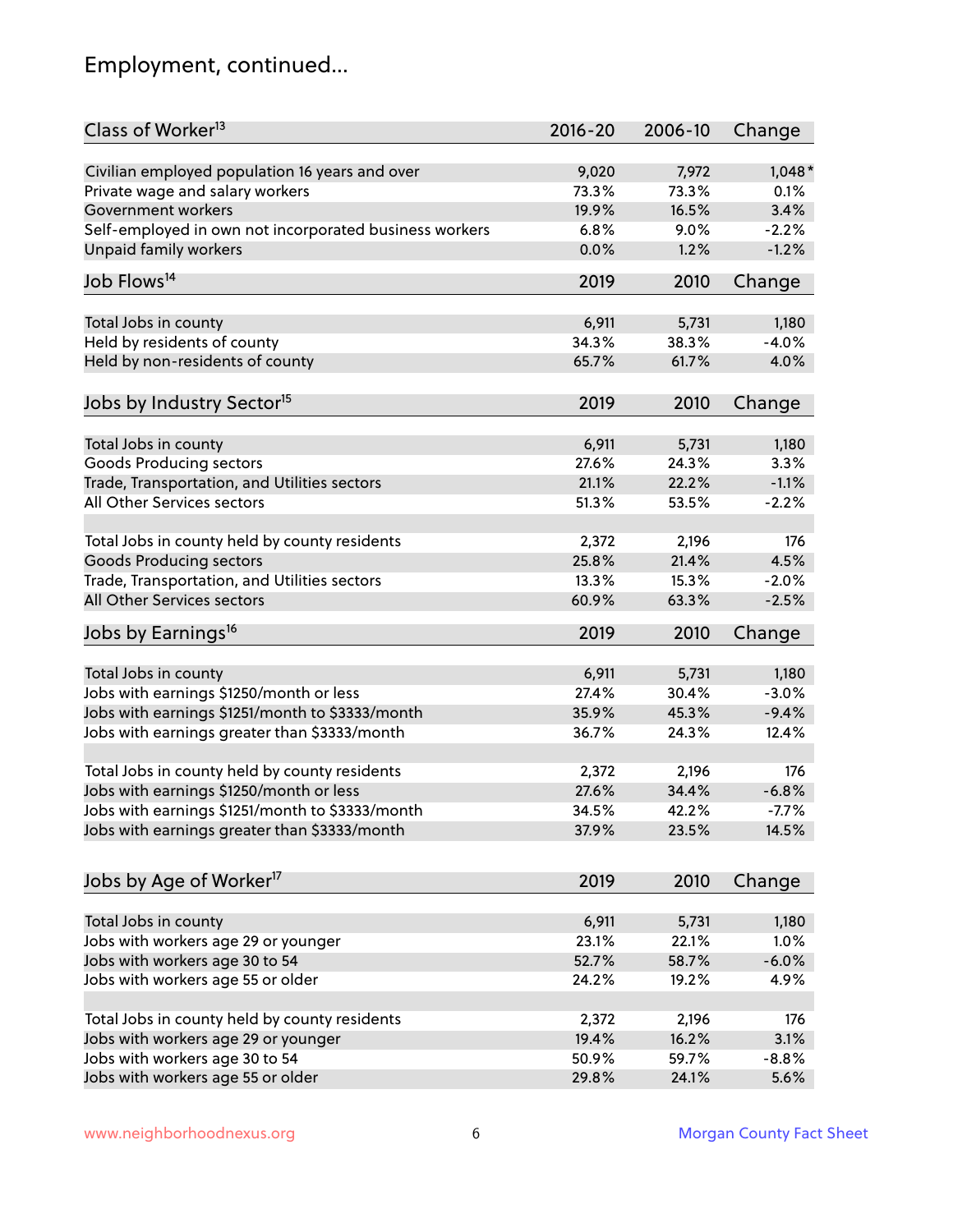# Employment, continued...

| Class of Worker <sup>13</sup>                          | $2016 - 20$ | 2006-10 | Change   |
|--------------------------------------------------------|-------------|---------|----------|
| Civilian employed population 16 years and over         | 9,020       | 7,972   | $1,048*$ |
| Private wage and salary workers                        | 73.3%       | 73.3%   | 0.1%     |
| Government workers                                     | 19.9%       | 16.5%   | 3.4%     |
| Self-employed in own not incorporated business workers | 6.8%        | 9.0%    | $-2.2%$  |
| Unpaid family workers                                  | 0.0%        | 1.2%    | $-1.2%$  |
| Job Flows <sup>14</sup>                                | 2019        | 2010    | Change   |
|                                                        |             |         |          |
| Total Jobs in county                                   | 6,911       | 5,731   | 1,180    |
| Held by residents of county                            | 34.3%       | 38.3%   | $-4.0%$  |
| Held by non-residents of county                        | 65.7%       | 61.7%   | 4.0%     |
| Jobs by Industry Sector <sup>15</sup>                  | 2019        | 2010    | Change   |
| Total Jobs in county                                   | 6,911       | 5,731   | 1,180    |
| Goods Producing sectors                                | 27.6%       | 24.3%   | 3.3%     |
| Trade, Transportation, and Utilities sectors           | 21.1%       | 22.2%   | $-1.1%$  |
| All Other Services sectors                             |             |         |          |
|                                                        | 51.3%       | 53.5%   | $-2.2%$  |
| Total Jobs in county held by county residents          | 2,372       | 2,196   | 176      |
| <b>Goods Producing sectors</b>                         | 25.8%       | 21.4%   | 4.5%     |
| Trade, Transportation, and Utilities sectors           | 13.3%       | 15.3%   | $-2.0%$  |
| All Other Services sectors                             | 60.9%       | 63.3%   | $-2.5%$  |
| Jobs by Earnings <sup>16</sup>                         | 2019        | 2010    | Change   |
|                                                        |             |         |          |
| Total Jobs in county                                   | 6,911       | 5,731   | 1,180    |
| Jobs with earnings \$1250/month or less                | 27.4%       | 30.4%   | $-3.0%$  |
| Jobs with earnings \$1251/month to \$3333/month        | 35.9%       | 45.3%   | $-9.4%$  |
| Jobs with earnings greater than \$3333/month           | 36.7%       | 24.3%   | 12.4%    |
| Total Jobs in county held by county residents          | 2,372       | 2,196   | 176      |
| Jobs with earnings \$1250/month or less                | 27.6%       | 34.4%   | $-6.8%$  |
| Jobs with earnings \$1251/month to \$3333/month        | 34.5%       | 42.2%   | -7.7%    |
| Jobs with earnings greater than \$3333/month           | 37.9%       | 23.5%   | 14.5%    |
|                                                        |             |         |          |
| Jobs by Age of Worker <sup>17</sup>                    | 2019        | 2010    | Change   |
| Total Jobs in county                                   | 6,911       | 5,731   | 1,180    |
| Jobs with workers age 29 or younger                    | 23.1%       |         | 1.0%     |
|                                                        |             | 22.1%   | $-6.0%$  |
| Jobs with workers age 30 to 54                         | 52.7%       | 58.7%   |          |
| Jobs with workers age 55 or older                      | 24.2%       | 19.2%   | 4.9%     |
| Total Jobs in county held by county residents          | 2,372       | 2,196   | 176      |
| Jobs with workers age 29 or younger                    | 19.4%       | 16.2%   | 3.1%     |
| Jobs with workers age 30 to 54                         | 50.9%       | 59.7%   | $-8.8%$  |
| Jobs with workers age 55 or older                      | 29.8%       | 24.1%   | 5.6%     |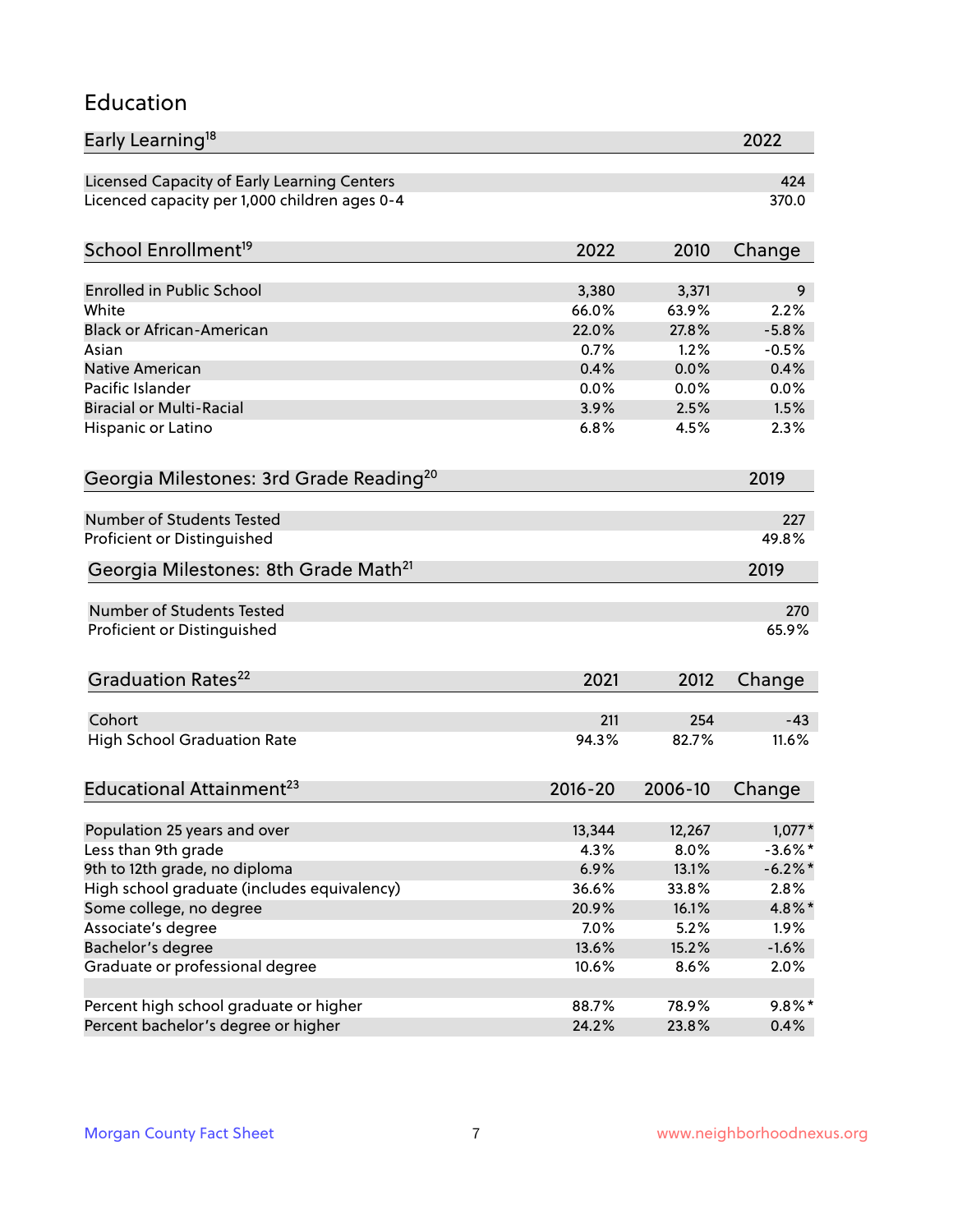### Education

| Early Learning <sup>18</sup>                        |             |         | 2022       |
|-----------------------------------------------------|-------------|---------|------------|
| Licensed Capacity of Early Learning Centers         |             |         | 424        |
| Licenced capacity per 1,000 children ages 0-4       |             |         | 370.0      |
|                                                     |             |         |            |
| School Enrollment <sup>19</sup>                     | 2022        | 2010    | Change     |
| <b>Enrolled in Public School</b>                    | 3,380       | 3,371   | 9          |
| White                                               | 66.0%       | 63.9%   | 2.2%       |
| <b>Black or African-American</b>                    | 22.0%       | 27.8%   | $-5.8%$    |
| Asian                                               | 0.7%        | 1.2%    | $-0.5%$    |
| Native American                                     | 0.4%        | 0.0%    | 0.4%       |
| Pacific Islander                                    | 0.0%        | 0.0%    | 0.0%       |
| <b>Biracial or Multi-Racial</b>                     | 3.9%        | 2.5%    | 1.5%       |
| Hispanic or Latino                                  | 6.8%        | 4.5%    | 2.3%       |
|                                                     |             |         |            |
| Georgia Milestones: 3rd Grade Reading <sup>20</sup> |             |         | 2019       |
| <b>Number of Students Tested</b>                    |             |         | 227        |
| Proficient or Distinguished                         |             |         | 49.8%      |
| Georgia Milestones: 8th Grade Math <sup>21</sup>    |             |         | 2019       |
| Number of Students Tested                           |             |         | 270        |
| Proficient or Distinguished                         |             |         | 65.9%      |
|                                                     |             |         |            |
| Graduation Rates <sup>22</sup>                      | 2021        | 2012    | Change     |
|                                                     |             |         |            |
| Cohort                                              | 211         | 254     | $-43$      |
| <b>High School Graduation Rate</b>                  | 94.3%       | 82.7%   | 11.6%      |
| Educational Attainment <sup>23</sup>                | $2016 - 20$ | 2006-10 | Change     |
|                                                     |             |         |            |
| Population 25 years and over                        | 13,344      | 12,267  | $1,077*$   |
| Less than 9th grade                                 | 4.3%        | 8.0%    | $-3.6\%$ * |
| 9th to 12th grade, no diploma                       | 6.9%        | 13.1%   | $-6.2%$ *  |
| High school graduate (includes equivalency)         | 36.6%       | 33.8%   | 2.8%       |
| Some college, no degree                             | 20.9%       | 16.1%   | 4.8%*      |
| Associate's degree                                  | 7.0%        | 5.2%    | 1.9%       |
| Bachelor's degree                                   | 13.6%       | 15.2%   | $-1.6%$    |
| Graduate or professional degree                     | 10.6%       | 8.6%    | 2.0%       |
| Percent high school graduate or higher              | 88.7%       | 78.9%   | $9.8\%$ *  |
| Percent bachelor's degree or higher                 | 24.2%       | 23.8%   | 0.4%       |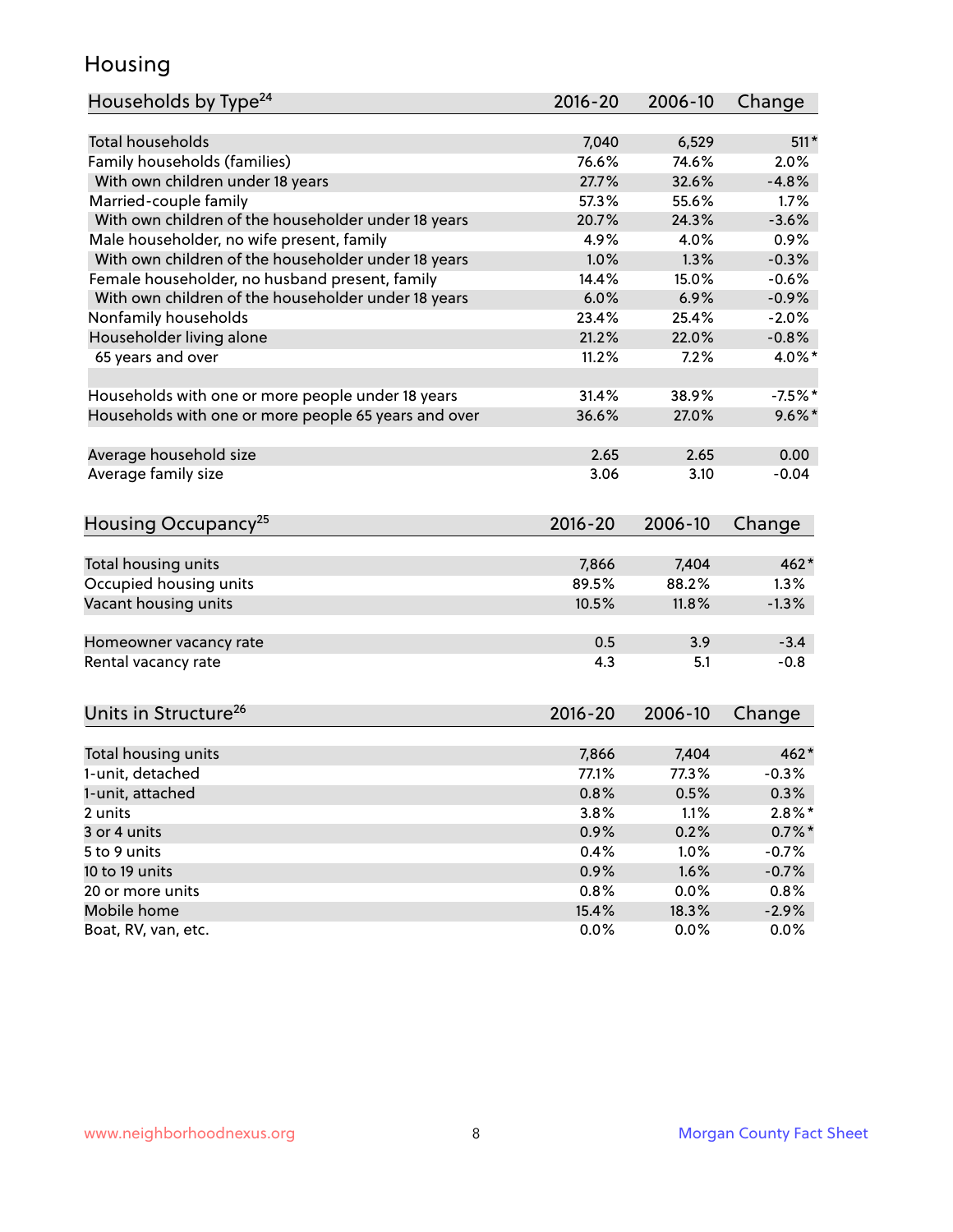### Housing

| Households by Type <sup>24</sup>                     | 2016-20     | 2006-10 | Change    |
|------------------------------------------------------|-------------|---------|-----------|
|                                                      |             |         |           |
| <b>Total households</b>                              | 7,040       | 6,529   | $511*$    |
| Family households (families)                         | 76.6%       | 74.6%   | 2.0%      |
| With own children under 18 years                     | 27.7%       | 32.6%   | $-4.8%$   |
| Married-couple family                                | 57.3%       | 55.6%   | 1.7%      |
| With own children of the householder under 18 years  | 20.7%       | 24.3%   | $-3.6%$   |
| Male householder, no wife present, family            | 4.9%        | 4.0%    | 0.9%      |
| With own children of the householder under 18 years  | 1.0%        | 1.3%    | $-0.3%$   |
| Female householder, no husband present, family       | 14.4%       | 15.0%   | $-0.6%$   |
| With own children of the householder under 18 years  | 6.0%        | 6.9%    | $-0.9%$   |
| Nonfamily households                                 | 23.4%       | 25.4%   | $-2.0%$   |
| Householder living alone                             | 21.2%       | 22.0%   | $-0.8%$   |
| 65 years and over                                    | 11.2%       | 7.2%    | 4.0%*     |
|                                                      |             |         |           |
| Households with one or more people under 18 years    | 31.4%       | 38.9%   | $-7.5%$ * |
| Households with one or more people 65 years and over | 36.6%       | 27.0%   | $9.6\%$ * |
| Average household size                               | 2.65        | 2.65    | 0.00      |
| Average family size                                  | 3.06        | 3.10    | $-0.04$   |
| Housing Occupancy <sup>25</sup>                      | $2016 - 20$ | 2006-10 | Change    |
|                                                      |             |         |           |
| Total housing units                                  | 7,866       | 7,404   | $462*$    |
| Occupied housing units                               | 89.5%       | 88.2%   | 1.3%      |
| Vacant housing units                                 | 10.5%       | 11.8%   | $-1.3%$   |
| Homeowner vacancy rate                               | 0.5         | 3.9     | $-3.4$    |
| Rental vacancy rate                                  | 4.3         | 5.1     | $-0.8$    |
| Units in Structure <sup>26</sup>                     | 2016-20     | 2006-10 | Change    |
| Total housing units                                  | 7,866       | 7,404   | $462*$    |
| 1-unit, detached                                     | 77.1%       | 77.3%   | $-0.3%$   |
| 1-unit, attached                                     | 0.8%        | 0.5%    | 0.3%      |
| 2 units                                              | 3.8%        | 1.1%    | $2.8\%$ * |
| 3 or 4 units                                         | 0.9%        | 0.2%    | $0.7\%$ * |
| 5 to 9 units                                         | 0.4%        | 1.0%    | $-0.7%$   |
| 10 to 19 units                                       | 0.9%        | 1.6%    | $-0.7%$   |
| 20 or more units                                     | 0.8%        | 0.0%    | 0.8%      |
| Mobile home                                          | 15.4%       | 18.3%   | $-2.9%$   |
| Boat, RV, van, etc.                                  | 0.0%        | $0.0\%$ | $0.0\%$   |
|                                                      |             |         |           |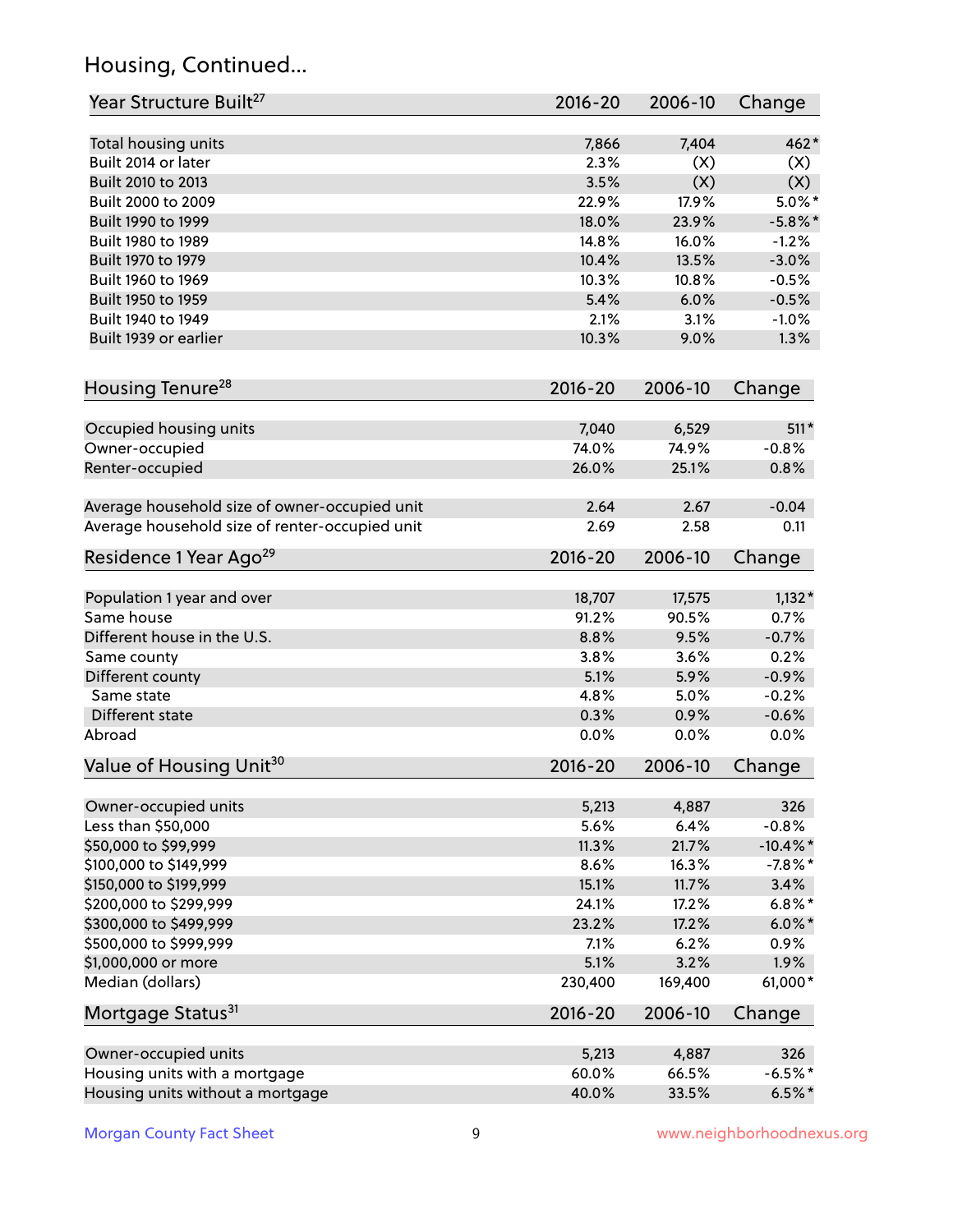# Housing, Continued...

| Year Structure Built <sup>27</sup>             | 2016-20       | 2006-10 | Change      |
|------------------------------------------------|---------------|---------|-------------|
|                                                |               | 7,404   | $462*$      |
| Total housing units<br>Built 2014 or later     | 7,866<br>2.3% | (X)     |             |
| Built 2010 to 2013                             | 3.5%          | (X)     | (X)<br>(X)  |
| Built 2000 to 2009                             | 22.9%         | 17.9%   | $5.0\%$ *   |
|                                                | 18.0%         |         |             |
| Built 1990 to 1999                             | 14.8%         | 23.9%   | $-5.8\%$ *  |
| Built 1980 to 1989                             |               | 16.0%   | $-1.2%$     |
| Built 1970 to 1979                             | 10.4%         | 13.5%   | $-3.0%$     |
| Built 1960 to 1969                             | 10.3%         | 10.8%   | $-0.5%$     |
| Built 1950 to 1959                             | 5.4%          | 6.0%    | $-0.5%$     |
| Built 1940 to 1949                             | 2.1%          | 3.1%    | $-1.0%$     |
| Built 1939 or earlier                          | 10.3%         | 9.0%    | 1.3%        |
| Housing Tenure <sup>28</sup>                   | $2016 - 20$   | 2006-10 | Change      |
| Occupied housing units                         | 7,040         | 6,529   | $511*$      |
| Owner-occupied                                 | 74.0%         | 74.9%   | $-0.8%$     |
| Renter-occupied                                | 26.0%         | 25.1%   | 0.8%        |
|                                                |               |         |             |
| Average household size of owner-occupied unit  | 2.64          | 2.67    | $-0.04$     |
| Average household size of renter-occupied unit | 2.69          | 2.58    | 0.11        |
| Residence 1 Year Ago <sup>29</sup>             | 2016-20       | 2006-10 | Change      |
|                                                |               |         |             |
| Population 1 year and over                     | 18,707        | 17,575  | $1,132*$    |
| Same house                                     | 91.2%         | 90.5%   | 0.7%        |
| Different house in the U.S.                    | 8.8%          | 9.5%    | $-0.7%$     |
| Same county                                    | 3.8%          | 3.6%    | 0.2%        |
| Different county                               | 5.1%          | 5.9%    | $-0.9%$     |
| Same state                                     | 4.8%          | 5.0%    | $-0.2%$     |
| Different state                                | 0.3%          | 0.9%    | $-0.6%$     |
| Abroad                                         | 0.0%          | 0.0%    | 0.0%        |
| Value of Housing Unit <sup>30</sup>            | 2016-20       | 2006-10 | Change      |
|                                                |               |         |             |
| Owner-occupied units                           | 5,213         | 4,887   | 326         |
| Less than \$50,000                             | 5.6%          | 6.4%    | $-0.8%$     |
| \$50,000 to \$99,999                           | 11.3%         | 21.7%   | $-10.4\%$ * |
| \$100,000 to \$149,999                         | 8.6%          | 16.3%   | $-7.8%$ *   |
| \$150,000 to \$199,999                         | 15.1%         | 11.7%   | 3.4%        |
| \$200,000 to \$299,999                         | 24.1%         | 17.2%   | $6.8\%$ *   |
| \$300,000 to \$499,999                         | 23.2%         | 17.2%   | $6.0\%$ *   |
| \$500,000 to \$999,999                         | 7.1%          | 6.2%    | 0.9%        |
| \$1,000,000 or more                            | 5.1%          | 3.2%    | 1.9%        |
| Median (dollars)                               | 230,400       | 169,400 | 61,000*     |
| Mortgage Status <sup>31</sup>                  | $2016 - 20$   | 2006-10 | Change      |
| Owner-occupied units                           | 5,213         | 4,887   | 326         |
| Housing units with a mortgage                  | 60.0%         | 66.5%   | $-6.5%$ *   |
| Housing units without a mortgage               | 40.0%         | 33.5%   | $6.5%$ *    |
|                                                |               |         |             |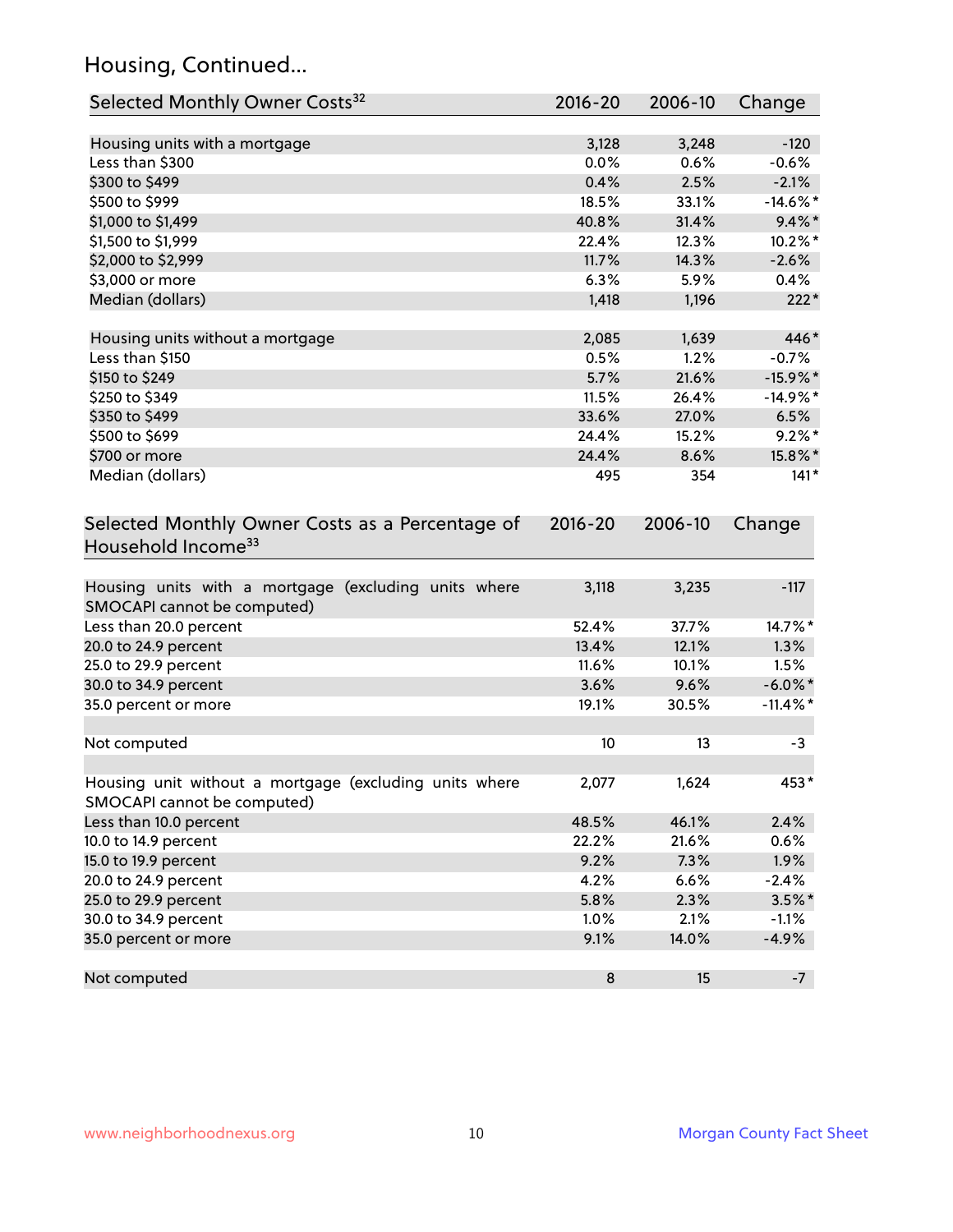# Housing, Continued...

| Selected Monthly Owner Costs <sup>32</sup>                                            | 2016-20     | 2006-10 | Change      |
|---------------------------------------------------------------------------------------|-------------|---------|-------------|
| Housing units with a mortgage                                                         | 3,128       | 3,248   | $-120$      |
| Less than \$300                                                                       | 0.0%        | 0.6%    | $-0.6%$     |
| \$300 to \$499                                                                        | 0.4%        | 2.5%    | $-2.1%$     |
| \$500 to \$999                                                                        | 18.5%       | 33.1%   | $-14.6\%$ * |
| \$1,000 to \$1,499                                                                    | 40.8%       | 31.4%   | $9.4\%$ *   |
| \$1,500 to \$1,999                                                                    | 22.4%       | 12.3%   | 10.2%*      |
| \$2,000 to \$2,999                                                                    | 11.7%       | 14.3%   | $-2.6%$     |
| \$3,000 or more                                                                       | 6.3%        | 5.9%    | 0.4%        |
| Median (dollars)                                                                      | 1,418       | 1,196   | $222*$      |
|                                                                                       |             |         |             |
| Housing units without a mortgage                                                      | 2,085       | 1,639   | 446*        |
| Less than \$150                                                                       | 0.5%        | 1.2%    | $-0.7%$     |
| \$150 to \$249                                                                        | 5.7%        | 21.6%   | $-15.9\%$ * |
| \$250 to \$349                                                                        | 11.5%       | 26.4%   | $-14.9%$ *  |
| \$350 to \$499                                                                        | 33.6%       | 27.0%   | 6.5%        |
| \$500 to \$699                                                                        | 24.4%       | 15.2%   | $9.2\%$ *   |
| \$700 or more                                                                         | 24.4%       | 8.6%    | 15.8%*      |
| Median (dollars)                                                                      | 495         | 354     | $141*$      |
| Selected Monthly Owner Costs as a Percentage of<br>Household Income <sup>33</sup>     | $2016 - 20$ | 2006-10 | Change      |
| Housing units with a mortgage (excluding units where<br>SMOCAPI cannot be computed)   | 3,118       | 3,235   | $-117$      |
| Less than 20.0 percent                                                                | 52.4%       | 37.7%   | 14.7%*      |
| 20.0 to 24.9 percent                                                                  | 13.4%       | 12.1%   | 1.3%        |
| 25.0 to 29.9 percent                                                                  | 11.6%       | 10.1%   | 1.5%        |
| 30.0 to 34.9 percent                                                                  | 3.6%        | 9.6%    | $-6.0\%$ *  |
| 35.0 percent or more                                                                  | 19.1%       | 30.5%   | $-11.4\%$ * |
| Not computed                                                                          | 10          | 13      | $-3$        |
| Housing unit without a mortgage (excluding units where<br>SMOCAPI cannot be computed) | 2,077       | 1,624   | 453*        |
| Less than 10.0 percent                                                                | 48.5%       | 46.1%   | 2.4%        |
| 10.0 to 14.9 percent                                                                  | 22.2%       | 21.6%   | 0.6%        |
| 15.0 to 19.9 percent                                                                  | 9.2%        | 7.3%    | 1.9%        |
| 20.0 to 24.9 percent                                                                  | 4.2%        | 6.6%    | $-2.4%$     |
| 25.0 to 29.9 percent                                                                  | 5.8%        | 2.3%    | $3.5\%$ *   |
| 30.0 to 34.9 percent                                                                  | 1.0%        | 2.1%    | $-1.1%$     |
| 35.0 percent or more                                                                  | 9.1%        | 14.0%   | $-4.9%$     |
| Not computed                                                                          | $\bf 8$     | 15      | $-7$        |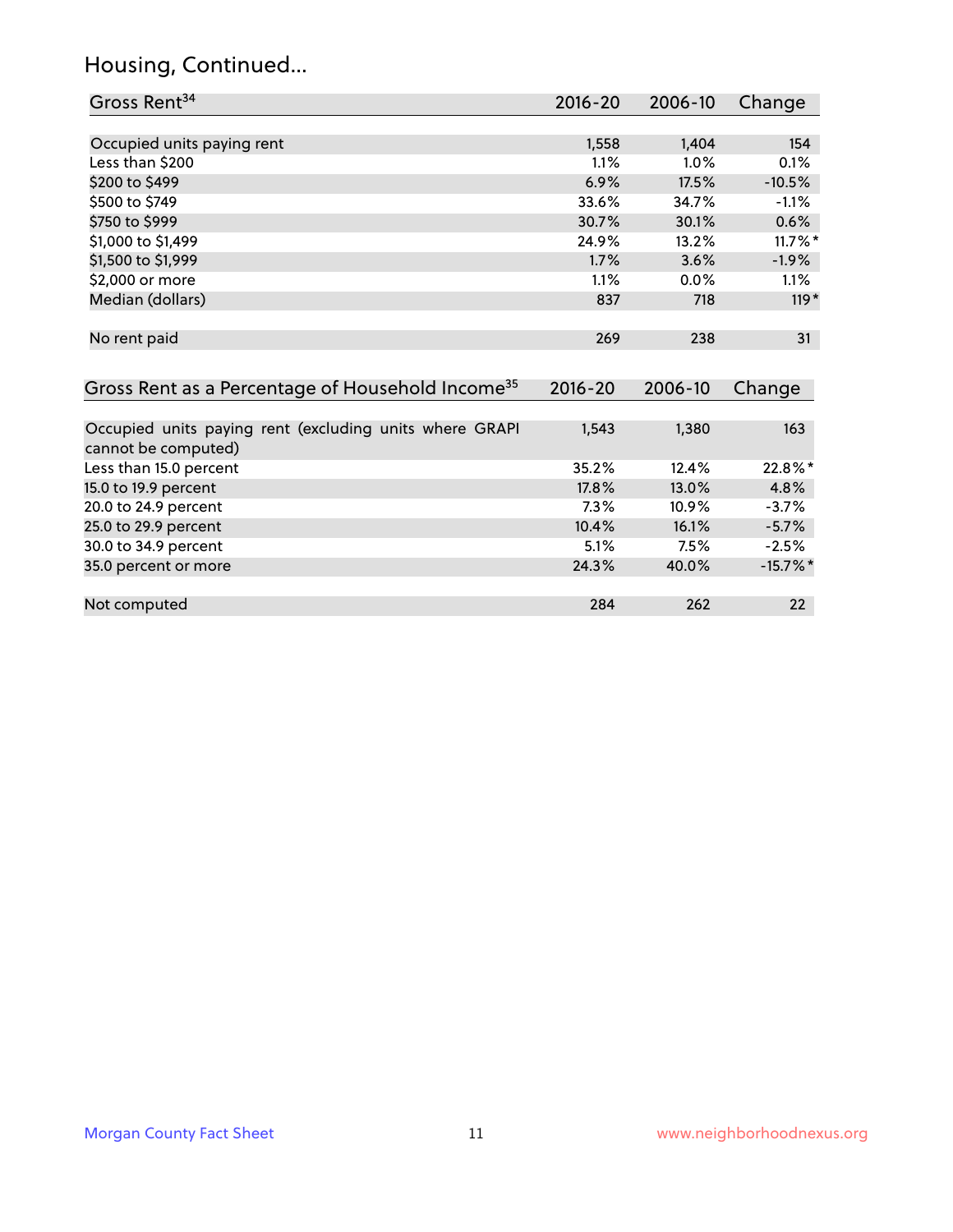# Housing, Continued...

| Gross Rent <sup>34</sup>                                                       | $2016 - 20$ | $2006 - 10$ | Change      |
|--------------------------------------------------------------------------------|-------------|-------------|-------------|
|                                                                                |             |             |             |
| Occupied units paying rent                                                     | 1,558       | 1,404       | 154         |
| Less than \$200                                                                | 1.1%        | 1.0%        | 0.1%        |
| \$200 to \$499                                                                 | 6.9%        | 17.5%       | $-10.5%$    |
| \$500 to \$749                                                                 | 33.6%       | 34.7%       | $-1.1%$     |
| \$750 to \$999                                                                 | 30.7%       | 30.1%       | 0.6%        |
| \$1,000 to \$1,499                                                             | 24.9%       | 13.2%       | $11.7\%$ *  |
| \$1,500 to \$1,999                                                             | 1.7%        | 3.6%        | $-1.9%$     |
| \$2,000 or more                                                                | 1.1%        | 0.0%        | 1.1%        |
| Median (dollars)                                                               | 837         | 718         | $119*$      |
| No rent paid                                                                   | 269         | 238         | 31          |
| Gross Rent as a Percentage of Household Income <sup>35</sup>                   | $2016 - 20$ | 2006-10     | Change      |
| Occupied units paying rent (excluding units where GRAPI<br>cannot be computed) | 1,543       | 1,380       | 163         |
| Less than 15.0 percent                                                         | 35.2%       | 12.4%       | 22.8%*      |
| 15.0 to 19.9 percent                                                           | 17.8%       | 13.0%       | 4.8%        |
| 20.0 to 24.9 percent                                                           | 7.3%        | 10.9%       | $-3.7%$     |
| 25.0 to 29.9 percent                                                           | 10.4%       | 16.1%       | $-5.7%$     |
| 30.0 to 34.9 percent                                                           | 5.1%        | 7.5%        | $-2.5%$     |
| 35.0 percent or more                                                           | 24.3%       | 40.0%       | $-15.7\%$ * |
| Not computed                                                                   | 284         | 262         | 22          |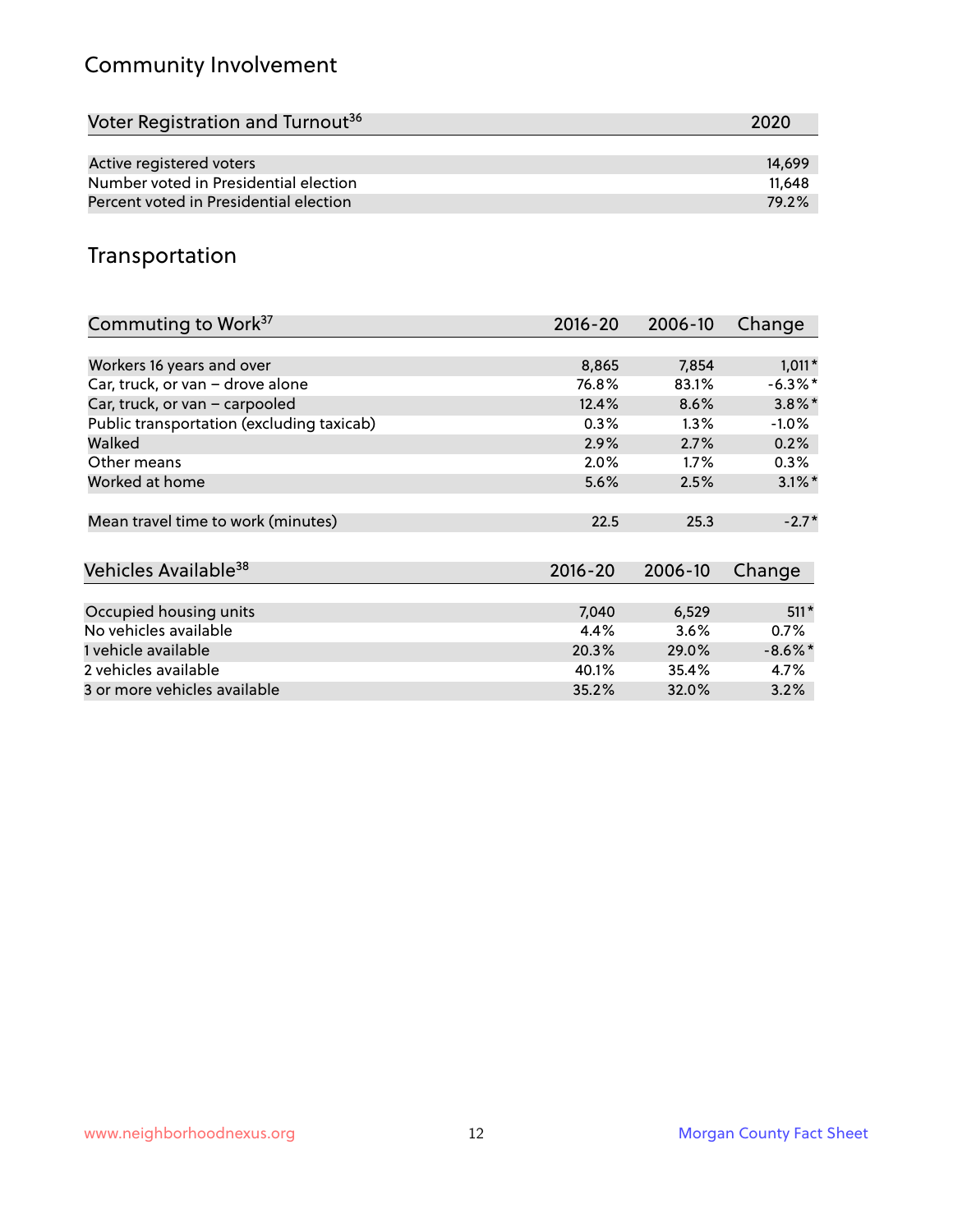# Community Involvement

| Voter Registration and Turnout <sup>36</sup> | 2020   |
|----------------------------------------------|--------|
|                                              |        |
| Active registered voters                     | 14.699 |
| Number voted in Presidential election        | 11.648 |
| Percent voted in Presidential election       | 79.2%  |

## Transportation

| Commuting to Work <sup>37</sup>           | 2016-20     | 2006-10 | Change     |
|-------------------------------------------|-------------|---------|------------|
|                                           |             |         |            |
| Workers 16 years and over                 | 8,865       | 7,854   | $1,011*$   |
| Car, truck, or van - drove alone          | 76.8%       | 83.1%   | $-6.3\%$ * |
| Car, truck, or van - carpooled            | 12.4%       | 8.6%    | $3.8\%$ *  |
| Public transportation (excluding taxicab) | 0.3%        | $1.3\%$ | $-1.0\%$   |
| Walked                                    | 2.9%        | 2.7%    | 0.2%       |
| Other means                               | $2.0\%$     | $1.7\%$ | $0.3\%$    |
| Worked at home                            | 5.6%        | 2.5%    | $3.1\%$ *  |
|                                           |             |         |            |
| Mean travel time to work (minutes)        | 22.5        | 25.3    | $-2.7*$    |
|                                           |             |         |            |
| Vehicles Available <sup>38</sup>          | $2016 - 20$ | 2006-10 | Change     |
|                                           |             |         |            |
| Occupied housing units                    | 7,040       | 6,529   | $511*$     |
| No vehicles available                     | 4.4%        | 3.6%    | 0.7%       |
| 1 vehicle available                       | 20.3%       | 29.0%   | $-8.6\%$ * |
| 2 vehicles available                      | 40.1%       | 35.4%   | 4.7%       |
| 3 or more vehicles available              | 35.2%       | 32.0%   | 3.2%       |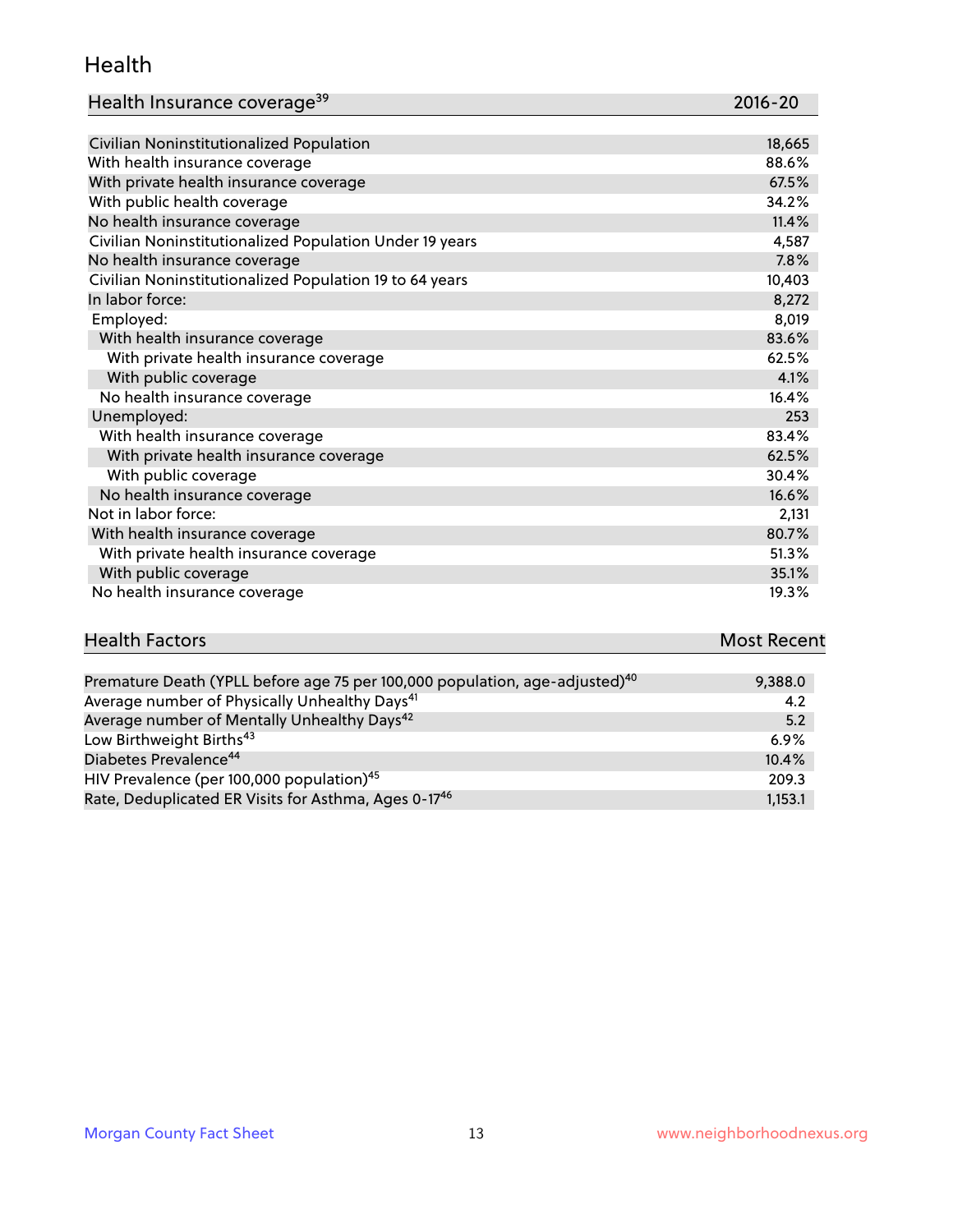#### Health

| Health Insurance coverage <sup>39</sup> | 2016-20 |
|-----------------------------------------|---------|
|-----------------------------------------|---------|

| Civilian Noninstitutionalized Population                | 18,665 |
|---------------------------------------------------------|--------|
| With health insurance coverage                          | 88.6%  |
| With private health insurance coverage                  | 67.5%  |
| With public health coverage                             | 34.2%  |
| No health insurance coverage                            | 11.4%  |
| Civilian Noninstitutionalized Population Under 19 years | 4,587  |
| No health insurance coverage                            | 7.8%   |
| Civilian Noninstitutionalized Population 19 to 64 years | 10,403 |
| In labor force:                                         | 8,272  |
| Employed:                                               | 8,019  |
| With health insurance coverage                          | 83.6%  |
| With private health insurance coverage                  | 62.5%  |
| With public coverage                                    | 4.1%   |
| No health insurance coverage                            | 16.4%  |
| Unemployed:                                             | 253    |
| With health insurance coverage                          | 83.4%  |
| With private health insurance coverage                  | 62.5%  |
| With public coverage                                    | 30.4%  |
| No health insurance coverage                            | 16.6%  |
| Not in labor force:                                     | 2,131  |
| With health insurance coverage                          | 80.7%  |
| With private health insurance coverage                  | 51.3%  |
| With public coverage                                    | 35.1%  |
| No health insurance coverage                            | 19.3%  |

| <b>Health Factors</b>                                                                                           | <b>Most Recent</b> |
|-----------------------------------------------------------------------------------------------------------------|--------------------|
|                                                                                                                 |                    |
| $D_{\text{remsch},\text{us}}$ $D_{\text{each}}$ (VDLL hefere are $25$ next 100,000 negatives are adjusted) $40$ | 0.2000             |

| Premature Death (YPLL before age 75 per 100,000 population, age-adjusted) <sup>40</sup> | 9,388.0 |
|-----------------------------------------------------------------------------------------|---------|
| Average number of Physically Unhealthy Days <sup>41</sup>                               | 4.2     |
| Average number of Mentally Unhealthy Days <sup>42</sup>                                 | 5.2     |
| Low Birthweight Births <sup>43</sup>                                                    | 6.9%    |
| Diabetes Prevalence <sup>44</sup>                                                       | 10.4%   |
| HIV Prevalence (per 100,000 population) <sup>45</sup>                                   | 209.3   |
| Rate, Deduplicated ER Visits for Asthma, Ages 0-17 <sup>46</sup>                        | 1,153.1 |